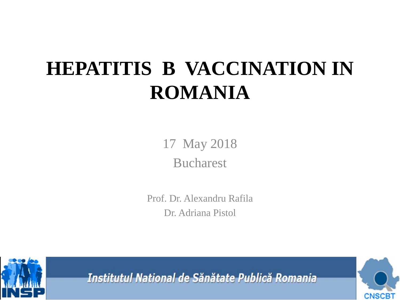# **HEPATITIS B VACCINATION IN ROMANIA**

17 May 2018 Bucharest

Prof. Dr. Alexandru Rafila Dr. Adriana Pistol



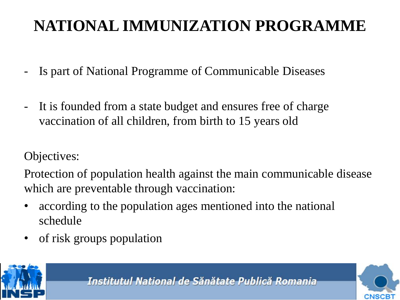### **NATIONAL IMMUNIZATION PROGRAMME**

- Is part of National Programme of Communicable Diseases
- It is founded from a state budget and ensures free of charge vaccination of all children, from birth to 15 years old

Objectives:

Protection of population health against the main communicable disease which are preventable through vaccination:

- according to the population ages mentioned into the national schedule
- of risk groups population



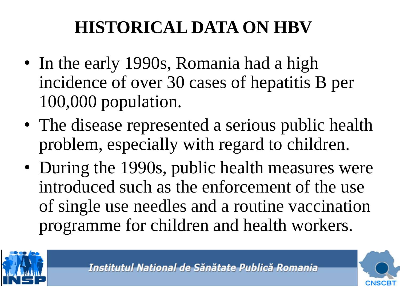## **HISTORICAL DATA ON HBV**

- In the early 1990s, Romania had a high incidence of over 30 cases of hepatitis B per 100,000 population.
- The disease represented a serious public health problem, especially with regard to children.
- During the 1990s, public health measures were introduced such as the enforcement of the use of single use needles and a routine vaccination programme for children and health workers.



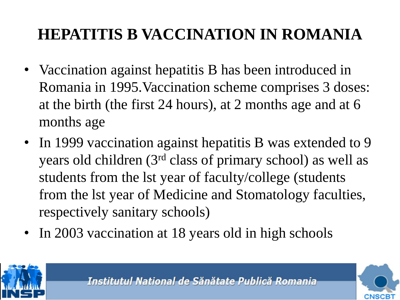### **HEPATITIS B VACCINATION IN ROMANIA**

- Vaccination against hepatitis B has been introduced in Romania in 1995.Vaccination scheme comprises 3 doses: at the birth (the first 24 hours), at 2 months age and at 6 months age
- In 1999 vaccination against hepatitis B was extended to 9 years old children (3rd class of primary school) as well as students from the lst year of faculty/college (students from the lst year of Medicine and Stomatology faculties, respectively sanitary schools)
- In 2003 vaccination at 18 years old in high schools



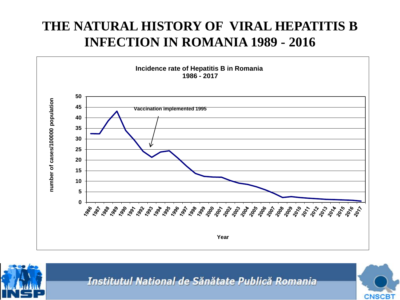### **THE NATURAL HISTORY OF VIRAL HEPATITIS B INFECTION IN ROMANIA 1989 - 2016**





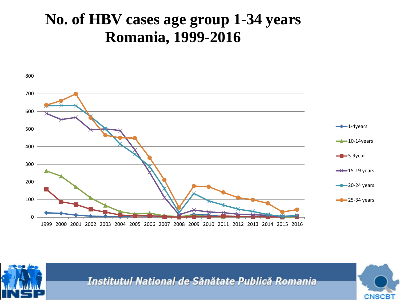### **No. of HBV cases age group 1-34 years Romania, 1999-2016**





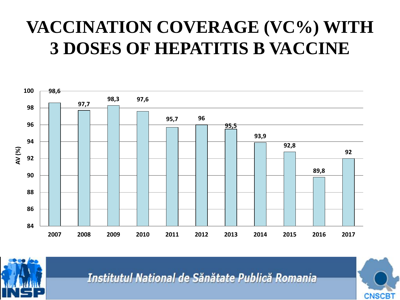### **VACCINATION COVERAGE (VC%) WITH 3 DOSES OF HEPATITIS B VACCINE**





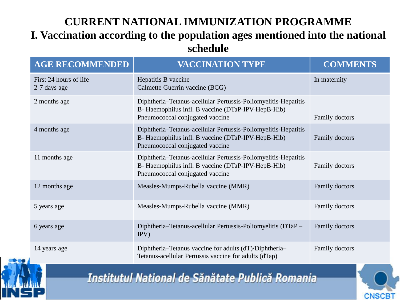#### **CURRENT NATIONAL IMMUNIZATION PROGRAMME I. Vaccination according to the population ages mentioned into the national schedule**

| <b>AGE RECOMMENDED</b>                 | <b>VACCINATION TYPE</b>                                                                                                                                 | <b>COMMENTS</b> |  |  |
|----------------------------------------|---------------------------------------------------------------------------------------------------------------------------------------------------------|-----------------|--|--|
| First 24 hours of life<br>2-7 days age | Hepatitis B vaccine<br>Calmette Guerrin vaccine (BCG)                                                                                                   | In maternity    |  |  |
| 2 months age                           | Diphtheria-Tetanus-acellular Pertussis-Poliomyelitis-Hepatitis<br>B- Haemophilus infl. B vaccine (DTaP-IPV-HepB-Hib)<br>Pneumococcal conjugated vaccine | Family doctors  |  |  |
| 4 months age                           | Diphtheria–Tetanus-acellular Pertussis-Poliomyelitis-Hepatitis<br>B- Haemophilus infl. B vaccine (DTaP-IPV-HepB-Hib)<br>Pneumococcal conjugated vaccine | Family doctors  |  |  |
| 11 months age                          | Diphtheria-Tetanus-acellular Pertussis-Poliomyelitis-Hepatitis<br>B- Haemophilus infl. B vaccine (DTaP-IPV-HepB-Hib)<br>Pneumococcal conjugated vaccine | Family doctors  |  |  |
| 12 months age                          | Measles-Mumps-Rubella vaccine (MMR)                                                                                                                     | Family doctors  |  |  |
| 5 years age                            | Measles-Mumps-Rubella vaccine (MMR)                                                                                                                     | Family doctors  |  |  |
| 6 years age                            | Diphtheria–Tetanus-acellular Pertussis-Poliomyelitis (DTaP –<br>IPV)                                                                                    | Family doctors  |  |  |
| 14 years age                           | Diphtheria–Tetanus vaccine for adults (dT)/Diphtheria–<br>Tetanus-acellular Pertussis vaccine for adults (dTap)                                         | Family doctors  |  |  |



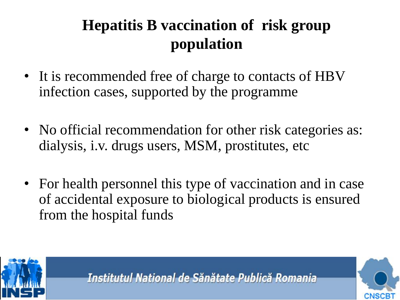### **Hepatitis B vaccination of risk group population**

- It is recommended free of charge to contacts of HBV infection cases, supported by the programme
- No official recommendation for other risk categories as: dialysis, i.v. drugs users, MSM, prostitutes, etc
- For health personnel this type of vaccination and in case of accidental exposure to biological products is ensured from the hospital funds



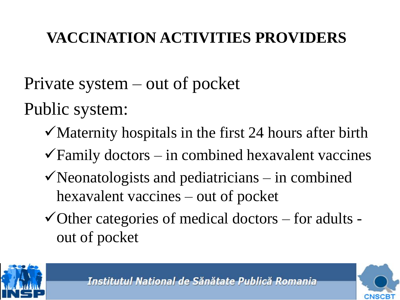### **VACCINATION ACTIVITIES PROVIDERS**

Private system – out of pocket

Public system:

- $\checkmark$  Maternity hospitals in the first 24 hours after birth
- $\sqrt{\frac{F_{\text{amily}}}{F_{\text{mry}}}}$  doctors in combined hexavalent vaccines
- $\checkmark$  Neonatologists and pediatricians in combined hexavalent vaccines – out of pocket
- $\checkmark$  Other categories of medical doctors for adults out of pocket



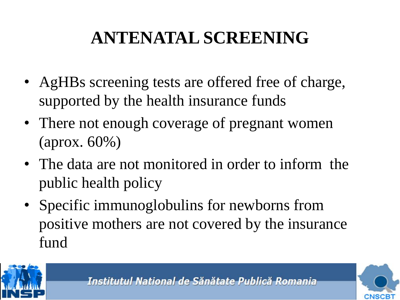## **ANTENATAL SCREENING**

- AgHBs screening tests are offered free of charge, supported by the health insurance funds
- There not enough coverage of pregnant women (aprox. 60%)
- The data are not monitored in order to inform the public health policy
- Specific immunoglobulins for newborns from positive mothers are not covered by the insurance fund



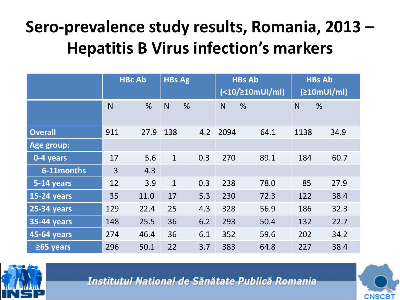### **Sero-prevalence study results, Romania, 2013 – Hepatitis B Virus infection's markers**

|                    | <b>HBc Ab</b> |      | <b>HBs Ag</b> |   | <b>HBs Ab</b><br>(<10/210mU1/ml) |      | <b>HBs Ab</b><br>(210mUI/ml) |      |      |
|--------------------|---------------|------|---------------|---|----------------------------------|------|------------------------------|------|------|
|                    | $\mathsf{N}$  | %    | N             | % |                                  | N    | %                            | N    | %    |
| <b>Overall</b>     | 911           | 27.9 | 138           |   | 4.2                              | 2094 | 64.1                         | 1138 | 34.9 |
| <b>Age group:</b>  |               |      |               |   |                                  |      |                              |      |      |
| 0-4 years          | 17            | 5.6  | $\mathbf{1}$  |   | 0.3                              | 270  | 89.1                         | 184  | 60.7 |
| 6-11 months        | 3             | 4.3  |               |   |                                  |      |                              |      |      |
| 5-14 years         | 12            | 3.9  | $\mathbf{1}$  |   | 0.3                              | 238  | 78.0                         | 85   | 27.9 |
| <b>15-24 years</b> | 35            | 11.0 | 17            |   | 5.3                              | 230  | 72.3                         | 122  | 38.4 |
| <b>25-34 years</b> | 129           | 22.4 | 25            |   | 4.3                              | 328  | 56.9                         | 186  | 32.3 |
| <b>35-44 years</b> | 148           | 25.5 | 36            |   | 6.2                              | 293  | 50.4                         | 132  | 22.7 |
| <b>45-64 years</b> | 274           | 46.4 | 36            |   | 6.1                              | 352  | 59.6                         | 202  | 34.2 |
| $\geq 65$ years    | 296           | 50.1 | 22            |   | 3.7                              | 383  | 64.8                         | 227  | 38.4 |